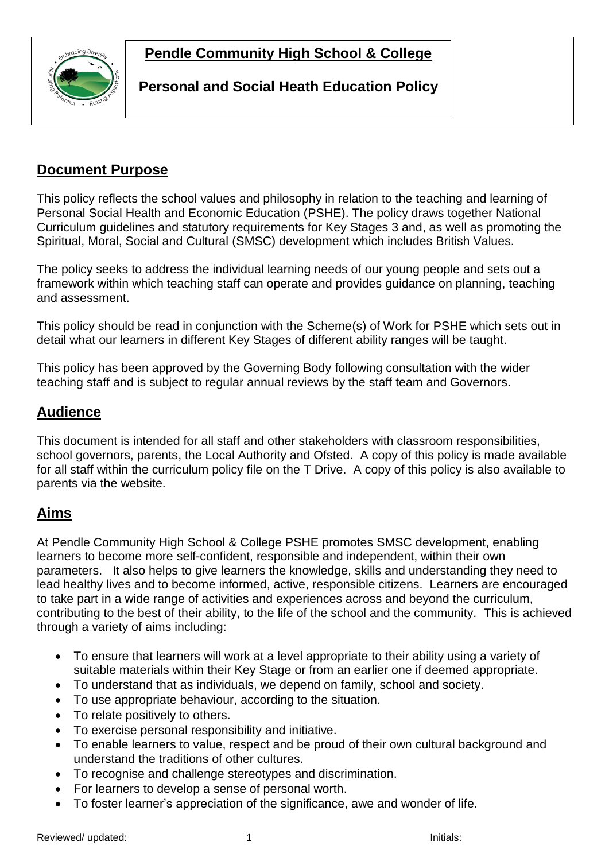

### **Personal and Social Heath Education Policy**

## **Document Purpose**

This policy reflects the school values and philosophy in relation to the teaching and learning of Personal Social Health and Economic Education (PSHE). The policy draws together National Curriculum guidelines and statutory requirements for Key Stages 3 and, as well as promoting the Spiritual, Moral, Social and Cultural (SMSC) development which includes British Values.

The policy seeks to address the individual learning needs of our young people and sets out a framework within which teaching staff can operate and provides guidance on planning, teaching and assessment.

This policy should be read in conjunction with the Scheme(s) of Work for PSHE which sets out in detail what our learners in different Key Stages of different ability ranges will be taught.

This policy has been approved by the Governing Body following consultation with the wider teaching staff and is subject to regular annual reviews by the staff team and Governors.

### **Audience**

This document is intended for all staff and other stakeholders with classroom responsibilities, school governors, parents, the Local Authority and Ofsted. A copy of this policy is made available for all staff within the curriculum policy file on the T Drive. A copy of this policy is also available to parents via the website.

### **Aims**

At Pendle Community High School & College PSHE promotes SMSC development, enabling learners to become more self-confident, responsible and independent, within their own parameters. It also helps to give learners the knowledge, skills and understanding they need to lead healthy lives and to become informed, active, responsible citizens. Learners are encouraged to take part in a wide range of activities and experiences across and beyond the curriculum, contributing to the best of their ability, to the life of the school and the community. This is achieved through a variety of aims including:

- To ensure that learners will work at a level appropriate to their ability using a variety of suitable materials within their Key Stage or from an earlier one if deemed appropriate.
- To understand that as individuals, we depend on family, school and society.
- To use appropriate behaviour, according to the situation.
- To relate positively to others.
- To exercise personal responsibility and initiative.
- To enable learners to value, respect and be proud of their own cultural background and understand the traditions of other cultures.
- To recognise and challenge stereotypes and discrimination.
- For learners to develop a sense of personal worth.
- To foster learner's appreciation of the significance, awe and wonder of life.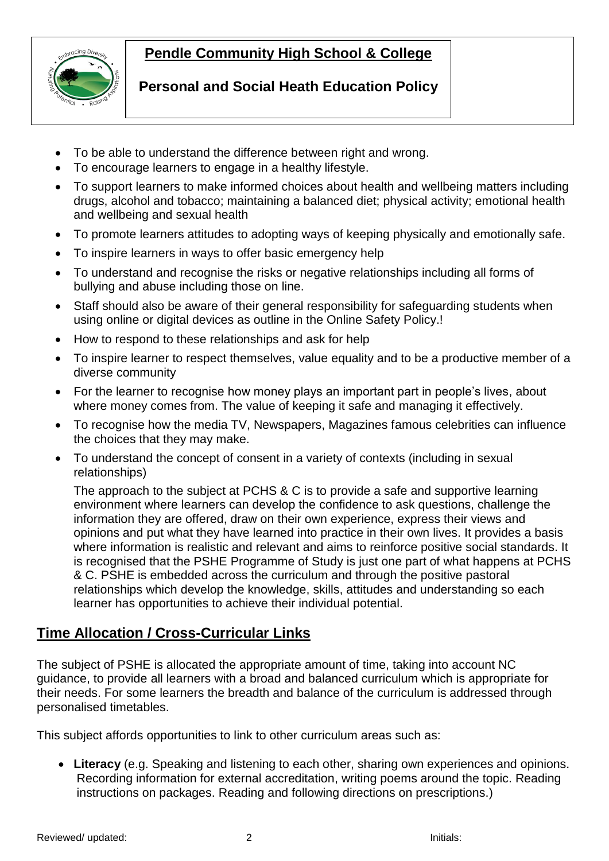

### **Personal and Social Heath Education Policy**

- To be able to understand the difference between right and wrong.
- To encourage learners to engage in a healthy lifestyle.
- To support learners to make informed choices about health and wellbeing matters including drugs, alcohol and tobacco; maintaining a balanced diet; physical activity; emotional health and wellbeing and sexual health

- To promote learners attitudes to adopting ways of keeping physically and emotionally safe.
- To inspire learners in ways to offer basic emergency help
- To understand and recognise the risks or negative relationships including all forms of bullying and abuse including those on line.
- Staff should also be aware of their general responsibility for safeguarding students when using online or digital devices as outline in the Online Safety Policy.!
- How to respond to these relationships and ask for help
- To inspire learner to respect themselves, value equality and to be a productive member of a diverse community
- For the learner to recognise how money plays an important part in people's lives, about where money comes from. The value of keeping it safe and managing it effectively.
- To recognise how the media TV, Newspapers, Magazines famous celebrities can influence the choices that they may make.
- To understand the concept of consent in a variety of contexts (including in sexual relationships)

The approach to the subject at PCHS & C is to provide a safe and supportive learning environment where learners can develop the confidence to ask questions, challenge the information they are offered, draw on their own experience, express their views and opinions and put what they have learned into practice in their own lives. It provides a basis where information is realistic and relevant and aims to reinforce positive social standards. It is recognised that the PSHE Programme of Study is just one part of what happens at PCHS & C. PSHE is embedded across the curriculum and through the positive pastoral relationships which develop the knowledge, skills, attitudes and understanding so each learner has opportunities to achieve their individual potential.

## **Time Allocation / Cross-Curricular Links**

The subject of PSHE is allocated the appropriate amount of time, taking into account NC guidance, to provide all learners with a broad and balanced curriculum which is appropriate for their needs. For some learners the breadth and balance of the curriculum is addressed through personalised timetables.

This subject affords opportunities to link to other curriculum areas such as:

 **Literacy** (e.g. Speaking and listening to each other, sharing own experiences and opinions. Recording information for external accreditation, writing poems around the topic. Reading instructions on packages. Reading and following directions on prescriptions.)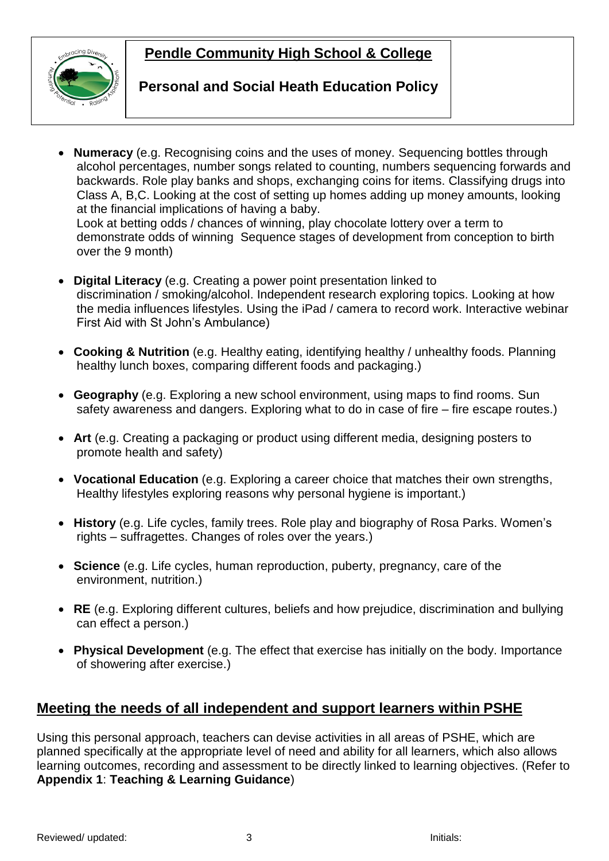

over the 9 month)

#### **Personal and Social Heath Education Policy**

- **Numeracy** (e.g. Recognising coins and the uses of money. Sequencing bottles through alcohol percentages, number songs related to counting, numbers sequencing forwards and backwards. Role play banks and shops, exchanging coins for items. Classifying drugs into Class A, B,C. Looking at the cost of setting up homes adding up money amounts, looking at the financial implications of having a baby. Look at betting odds / chances of winning, play chocolate lottery over a term to demonstrate odds of winning Sequence stages of development from conception to birth
- **Digital Literacy** (e.g. Creating a power point presentation linked to discrimination / smoking/alcohol. Independent research exploring topics. Looking at how the media influences lifestyles. Using the iPad / camera to record work. Interactive webinar First Aid with St John's Ambulance)
- **Cooking & Nutrition** (e.g. Healthy eating, identifying healthy / unhealthy foods. Planning healthy lunch boxes, comparing different foods and packaging.)
- **Geography** (e.g. Exploring a new school environment, using maps to find rooms. Sun safety awareness and dangers. Exploring what to do in case of fire – fire escape routes.)
- **Art** (e.g. Creating a packaging or product using different media, designing posters to promote health and safety)
- **Vocational Education** (e.g. Exploring a career choice that matches their own strengths, Healthy lifestyles exploring reasons why personal hygiene is important.)
- **History** (e.g. Life cycles, family trees. Role play and biography of Rosa Parks. Women's rights – suffragettes. Changes of roles over the years.)
- **Science** (e.g. Life cycles, human reproduction, puberty, pregnancy, care of the environment, nutrition.)
- **RE** (e.g. Exploring different cultures, beliefs and how prejudice, discrimination and bullying can effect a person.)
- **Physical Development** (e.g. The effect that exercise has initially on the body. Importance of showering after exercise.)

### **Meeting the needs of all independent and support learners within PSHE**

Using this personal approach, teachers can devise activities in all areas of PSHE, which are planned specifically at the appropriate level of need and ability for all learners, which also allows learning outcomes, recording and assessment to be directly linked to learning objectives. (Refer to **Appendix 1**: **Teaching & Learning Guidance**)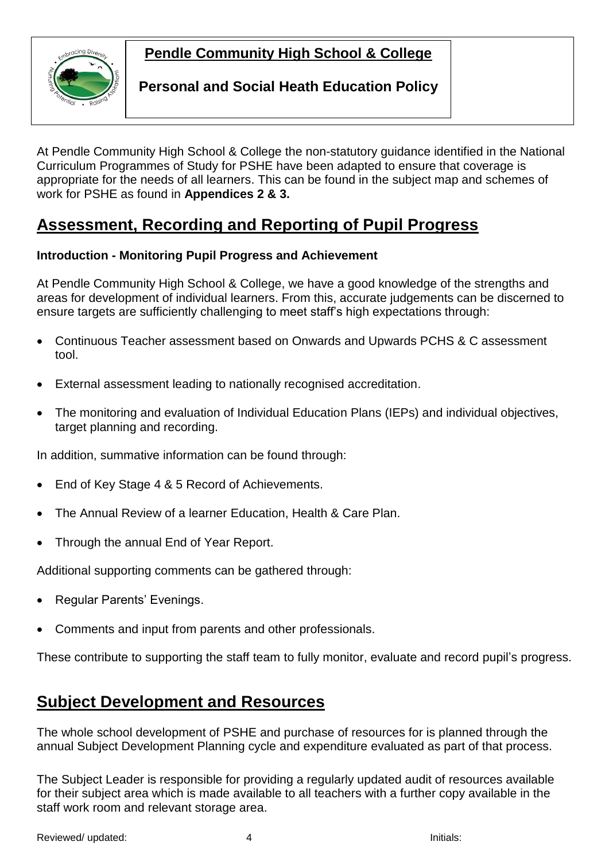

### **Personal and Social Heath Education Policy**

 At Pendle Community High School & College the non-statutory guidance identified in the National Curriculum Programmes of Study for PSHE have been adapted to ensure that coverage is appropriate for the needs of all learners. This can be found in the subject map and schemes of work for PSHE as found in **Appendices 2 & 3.**

# **Assessment, Recording and Reporting of Pupil Progress**

#### **Introduction - Monitoring Pupil Progress and Achievement**

At Pendle Community High School & College, we have a good knowledge of the strengths and areas for development of individual learners. From this, accurate judgements can be discerned to ensure targets are sufficiently challenging to meet staff's high expectations through:

- Continuous Teacher assessment based on Onwards and Upwards PCHS & C assessment tool.
- External assessment leading to nationally recognised accreditation.
- The monitoring and evaluation of Individual Education Plans (IEPs) and individual objectives, target planning and recording.

In addition, summative information can be found through:

- End of Key Stage 4 & 5 Record of Achievements.
- The Annual Review of a learner Education, Health & Care Plan.
- Through the annual End of Year Report.

Additional supporting comments can be gathered through:

- Regular Parents' Evenings.
- Comments and input from parents and other professionals.

These contribute to supporting the staff team to fully monitor, evaluate and record pupil's progress.

## **Subject Development and Resources**

The whole school development of PSHE and purchase of resources for is planned through the annual Subject Development Planning cycle and expenditure evaluated as part of that process.

The Subject Leader is responsible for providing a regularly updated audit of resources available for their subject area which is made available to all teachers with a further copy available in the staff work room and relevant storage area.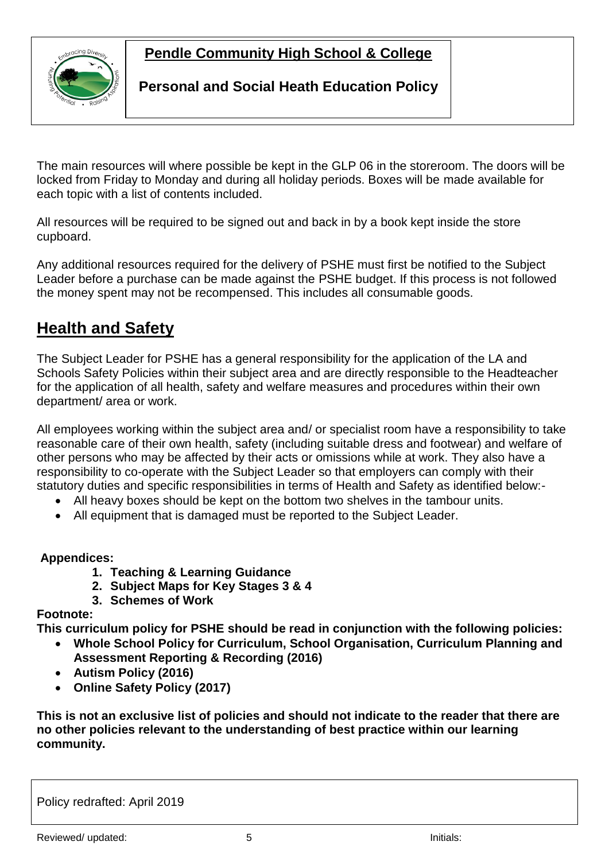

#### **Personal and Social Heath Education Policy**

The main resources will where possible be kept in the GLP 06 in the storeroom. The doors will be locked from Friday to Monday and during all holiday periods. Boxes will be made available for each topic with a list of contents included.

All resources will be required to be signed out and back in by a book kept inside the store cupboard.

Any additional resources required for the delivery of PSHE must first be notified to the Subject Leader before a purchase can be made against the PSHE budget. If this process is not followed the money spent may not be recompensed. This includes all consumable goods.

# **Health and Safety**

The Subject Leader for PSHE has a general responsibility for the application of the LA and Schools Safety Policies within their subject area and are directly responsible to the Headteacher for the application of all health, safety and welfare measures and procedures within their own department/ area or work.

All employees working within the subject area and/ or specialist room have a responsibility to take reasonable care of their own health, safety (including suitable dress and footwear) and welfare of other persons who may be affected by their acts or omissions while at work. They also have a responsibility to co-operate with the Subject Leader so that employers can comply with their statutory duties and specific responsibilities in terms of Health and Safety as identified below:-

- All heavy boxes should be kept on the bottom two shelves in the tambour units.
- All equipment that is damaged must be reported to the Subject Leader.

#### **Appendices:**

- **1. Teaching & Learning Guidance**
- **2. Subject Maps for Key Stages 3 & 4**
- **3. Schemes of Work**

#### **Footnote:**

**This curriculum policy for PSHE should be read in conjunction with the following policies:**

- **Whole School Policy for Curriculum, School Organisation, Curriculum Planning and Assessment Reporting & Recording (2016)**
- **Autism Policy (2016)**
- **Online Safety Policy (2017)**

**This is not an exclusive list of policies and should not indicate to the reader that there are no other policies relevant to the understanding of best practice within our learning community.**

Policy redrafted: April 2019

Reviewed/ updated:  $\overline{5}$  initials:  $\overline{5}$  initials: